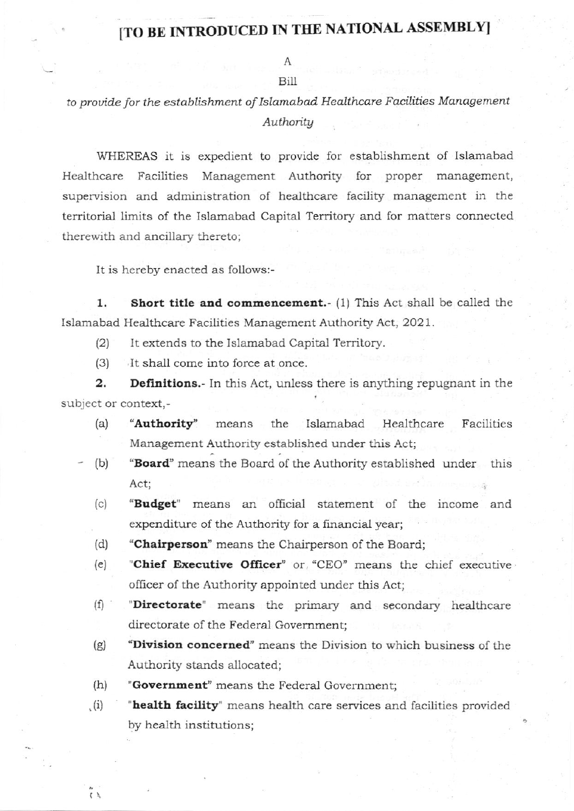## [TO BE INTRODUCED IN THE NATIONAL ASSEMBLY]

## A

## Bill

## to provide for the establishment of Islamabad Healthcare Facilities Management Authority

WHEREAS it is expedient to provide for establishment of Islamabad Healthcare Facilities Management Authority for proper management, supervision and administration of healthcare facility management in the territorial limits of the Islamabad Capital Territory and for matters connected therewith and ancillary thereto;

It is hereby enacted as follows:-

1. Short title and commencement.- (1) This Act shall be called the Islamabad Healthcare Facilities Management Authority Act, 2021.

- It extends to the Islamabad Capital Territory.  $(2)$
- It shall come into force at once.  $(3)$

**Definitions.** In this Act, unless there is anything repugnant in the  $\mathbf{2}$ . subject or context,-

- "Authority" Healthcare  $(a)$ means the Islamabad Facilities Management Authority established under this Act;
- "Board" means the Board of the Authority established under this  $(b)$ Act;
- $(c)$ "Budget" means an official statement of the income and expenditure of the Authority for a financial year;
- "Chairperson" means the Chairperson of the Board:  $(d)$
- "Chief Executive Officer" or "CEO" means the chief executive  $(e)$ officer of the Authority appointed under this Act;
- $(f)$ "Directorate" means the primary and secondary healthcare directorate of the Federal Government:
- "Division concerned" means the Division to which business of the  $(g)$ Authority stands allocated;
- $(h)$ "Government" means the Federal Government:

 $\tilde{\tilde{t}}$ 

 $(i)$ "health facility" means health care services and facilities provided by health institutions;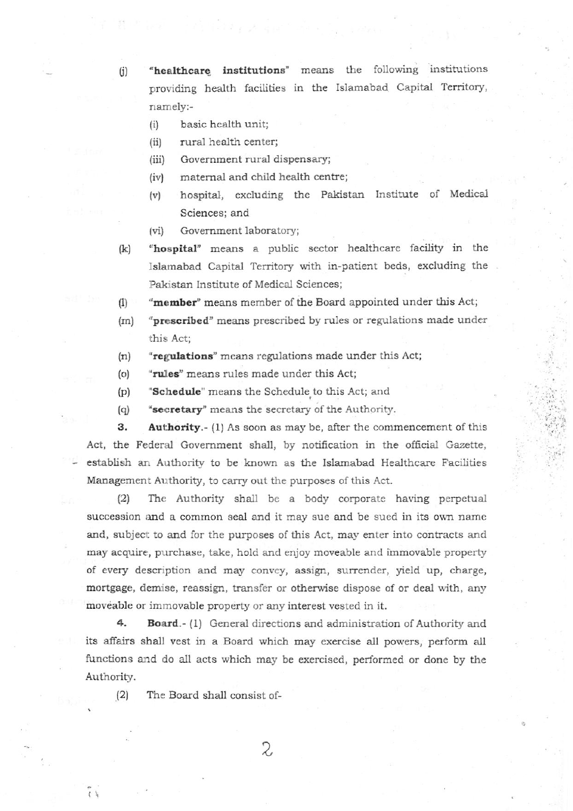(j) "healthcare institutions" means the following institutions providing health facilities in the Islamabad Capital Territory, namely:-

- (i) basic health unit;
- (ii) rural health center;
- (iii) Government rural dispensary;
- (iv) maternal and child health centre;
- (v) hospital, excluding the Pakistan Institute of Medical Sciences; and
- (vi) Government laboratory;
- (k) "hospital" means a public sector healthcare facility in the Islamabad Capital Territory with in-patient beds, excluding the Pakistan Institute of Medical Sciences;
- (1) "member" means member of the Board appointed under this Act;
- (m) "prescribed" means prescribed by rules or regulations made under this Act;
- $(n)$  "regulations" means regulations made under this Act;
- $(0)$  "rules" means rules made under this Act;
- (p) **'Schedule**" means the Schedule to this Act; and
- (q) "secretary" means the secretary of the Authority.

3. Authority.- (1) As soon as may be, after the commencement of this Act, the Federal Government shall, by notification in the official Gazette, establish an Authority to be known as the Islamabad Healthcare Facilities Management Authority, to carry out the purposes of this Act.

(2) The Authority shall be a body corporate having perpetual succession and a common seal and it may sue and be sued in its own name and, subject to and for the purposes of this Act, may enter into contracts and may acquire, purchase, take, hold and enjoy moveable and immovable property of every description and may convey, assign, surrender, yield up, charge, mortgage, demise, reassign, transfer or otherwise dispose of or deal with, any moveable or immovable property or any interest vested in it.

4. Board.- (1) General directions and administration of Authority and its affairs shall vest in a Board which may exercise all powers, perform all functions and do all acts which may be exercised, performed or done by the Authority.

2,

 $(2)$  The Board shall consist of-

,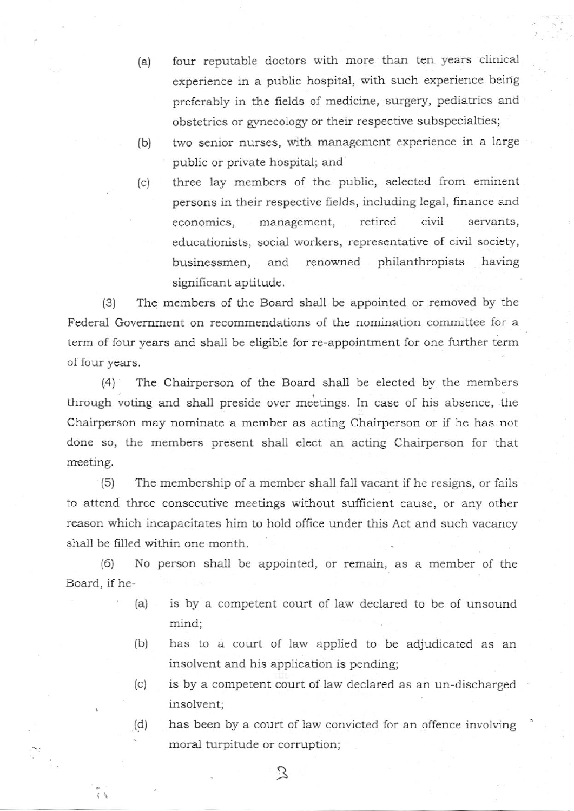- (a) four reputable doctors with more than ten years clinical experience in a public hospital, with such experience beirig preferably in the fields of medicine, surgery, pediatrics and obstetrics or gynecology or their respective subspecialties;
- (b) two senior nurses, with management experience in a large public or private hospital; and
- (c) three lay members of the public, selected from eminent persons in their respective fields, including legal, finance and economics, management, retired civil servants, educationists, social workers, representative of civil society, businessmen, and renowned philanthropists having significant aptitude.

(3) The members of the Board shall be appointed or removed by the Federal Government on recommendations of the nomination committee for a term of four years and shall be eligible for re-appointment for one further term of four years.

(4) The Chairperson of the Board shall be elected by the members through voting and shall preside over meetings. In case of his absence, the Chairperson may nominate a member as acting Chairperson or if he has not done so, the members present shall elect an acting Chairperson for that meeting.

(5) The membership of a member shall fall vacant if he resigns, or fails to attend three consecutive meetings witiout sufficient cause, or any other reason which incapacitates him to hold offrce under this Act and such vacancy shall be filled within one month.

 $(6)$  No person shall be appointed, or remain, as a member of the Board, if he-

- (a) is by a competent court of law declared to be of unsound mind;
- (b) has to a court of law applied to be adjudicated as an insolvent and his application is pending;
- (c) is by a competent court of law declared as an un-discharged insolvent;
- (q) has been by a court of 1aw convicted for an offence involving moral turpitude or corruption;

3

.